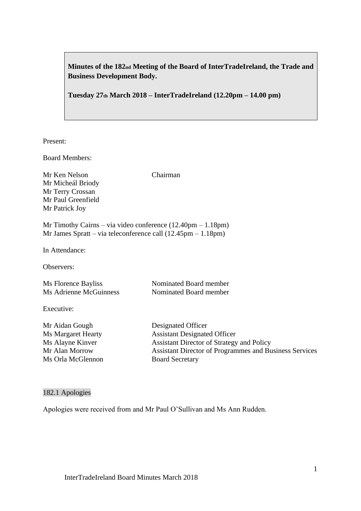**Minutes of the 182nd Meeting of the Board of InterTradeIreland, the Trade and Business Development Body.**

**Tuesday 27th March 2018 – InterTradeIreland (12.20pm – 14.00 pm)**

Present:

Board Members:

Mr Ken Nelson Chairman Mr Micheál Briody Mr Terry Crossan Mr Paul Greenfield Mr Patrick Joy

Mr Timothy Cairns – via video conference (12.40pm – 1.18pm) Mr James Spratt – via teleconference call (12.45pm – 1.18pm)

In Attendance:

Observers:

| Ms Florence Bayliss    | Nominated Board member |
|------------------------|------------------------|
| Ms Adrienne McGuinness | Nominated Board member |

Executive:

Mr Aidan Gough Designated Officer Ms Orla McGlennon Board Secretary

Ms Margaret Hearty **Assistant Designated Officer** Ms Alayne Kinver Assistant Director of Strategy and Policy Mr Alan Morrow Assistant Director of Programmes and Business Services

### 182.1 Apologies

Apologies were received from and Mr Paul O'Sullivan and Ms Ann Rudden.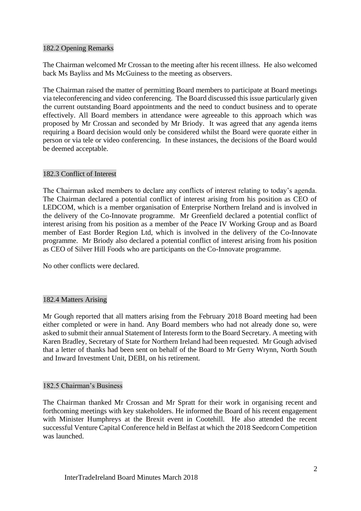## 182.2 Opening Remarks

The Chairman welcomed Mr Crossan to the meeting after his recent illness. He also welcomed back Ms Bayliss and Ms McGuiness to the meeting as observers.

The Chairman raised the matter of permitting Board members to participate at Board meetings via teleconferencing and video conferencing. The Board discussed this issue particularly given the current outstanding Board appointments and the need to conduct business and to operate effectively. All Board members in attendance were agreeable to this approach which was proposed by Mr Crossan and seconded by Mr Briody. It was agreed that any agenda items requiring a Board decision would only be considered whilst the Board were quorate either in person or via tele or video conferencing. In these instances, the decisions of the Board would be deemed acceptable.

# 182.3 Conflict of Interest

The Chairman asked members to declare any conflicts of interest relating to today's agenda. The Chairman declared a potential conflict of interest arising from his position as CEO of LEDCOM, which is a member organisation of Enterprise Northern Ireland and is involved in the delivery of the Co-Innovate programme. Mr Greenfield declared a potential conflict of interest arising from his position as a member of the Peace IV Working Group and as Board member of East Border Region Ltd, which is involved in the delivery of the Co-Innovate programme. Mr Briody also declared a potential conflict of interest arising from his position as CEO of Silver Hill Foods who are participants on the Co-Innovate programme.

No other conflicts were declared.

# 182.4 Matters Arising

Mr Gough reported that all matters arising from the February 2018 Board meeting had been either completed or were in hand. Any Board members who had not already done so, were asked to submit their annual Statement of Interests form to the Board Secretary. A meeting with Karen Bradley, Secretary of State for Northern Ireland had been requested. Mr Gough advised that a letter of thanks had been sent on behalf of the Board to Mr Gerry Wrynn, North South and Inward Investment Unit, DEBI, on his retirement.

### 182.5 Chairman's Business

The Chairman thanked Mr Crossan and Mr Spratt for their work in organising recent and forthcoming meetings with key stakeholders. He informed the Board of his recent engagement with Minister Humphreys at the Brexit event in Cootehill. He also attended the recent successful Venture Capital Conference held in Belfast at which the 2018 Seedcorn Competition was launched.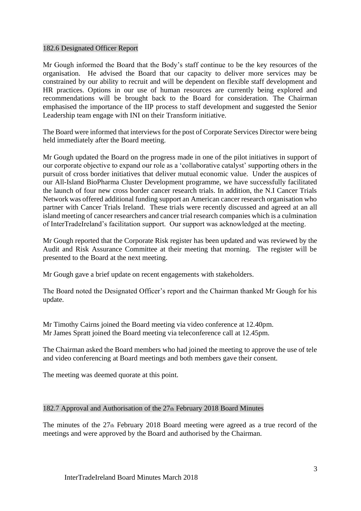#### 182.6 Designated Officer Report

Mr Gough informed the Board that the Body's staff continue to be the key resources of the organisation. He advised the Board that our capacity to deliver more services may be constrained by our ability to recruit and will be dependent on flexible staff development and HR practices. Options in our use of human resources are currently being explored and recommendations will be brought back to the Board for consideration. The Chairman emphasised the importance of the IIP process to staff development and suggested the Senior Leadership team engage with INI on their Transform initiative.

The Board were informed that interviews for the post of Corporate Services Director were being held immediately after the Board meeting.

Mr Gough updated the Board on the progress made in one of the pilot initiatives in support of our corporate objective to expand our role as a 'collaborative catalyst' supporting others in the pursuit of cross border initiatives that deliver mutual economic value. Under the auspices of our All-Island BioPharma Cluster Development programme, we have successfully facilitated the launch of four new cross border cancer research trials. In addition, the N.I Cancer Trials Network was offered additional funding support an American cancer research organisation who partner with Cancer Trials Ireland. These trials were recently discussed and agreed at an all island meeting of cancer researchers and cancer trial research companies which is a culmination of InterTradeIreland's facilitation support. Our support was acknowledged at the meeting.

Mr Gough reported that the Corporate Risk register has been updated and was reviewed by the Audit and Risk Assurance Committee at their meeting that morning. The register will be presented to the Board at the next meeting.

Mr Gough gave a brief update on recent engagements with stakeholders.

The Board noted the Designated Officer's report and the Chairman thanked Mr Gough for his update.

Mr Timothy Cairns joined the Board meeting via video conference at 12.40pm. Mr James Spratt joined the Board meeting via teleconference call at 12.45pm.

The Chairman asked the Board members who had joined the meeting to approve the use of tele and video conferencing at Board meetings and both members gave their consent.

The meeting was deemed quorate at this point.

### 182.7 Approval and Authorisation of the 27th February 2018 Board Minutes

The minutes of the 27th February 2018 Board meeting were agreed as a true record of the meetings and were approved by the Board and authorised by the Chairman.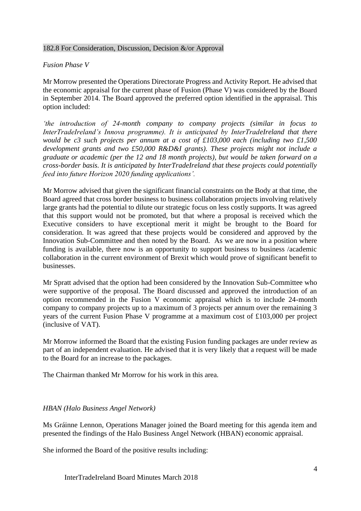## 182.8 For Consideration, Discussion, Decision &/or Approval

# *Fusion Phase V*

Mr Morrow presented the Operations Directorate Progress and Activity Report. He advised that the economic appraisal for the current phase of Fusion (Phase V) was considered by the Board in September 2014. The Board approved the preferred option identified in the appraisal. This option included:

*'the introduction of 24-month company to company projects (similar in focus to InterTradeIreland's Innova programme). It is anticipated by InterTradeIreland that there would be c3 such projects per annum at a cost of £103,000 each (including two £1,500 development grants and two £50,000 R&D&I grants). These projects might not include a graduate or academic (per the 12 and 18 month projects), but would be taken forward on a cross-border basis. It is anticipated by InterTradeIreland that these projects could potentially feed into future Horizon 2020 funding applications'.*

Mr Morrow advised that given the significant financial constraints on the Body at that time, the Board agreed that cross border business to business collaboration projects involving relatively large grants had the potential to dilute our strategic focus on less costly supports. It was agreed that this support would not be promoted, but that where a proposal is received which the Executive considers to have exceptional merit it might be brought to the Board for consideration. It was agreed that these projects would be considered and approved by the Innovation Sub-Committee and then noted by the Board. As we are now in a position where funding is available, there now is an opportunity to support business to business /academic collaboration in the current environment of Brexit which would prove of significant benefit to businesses.

Mr Spratt advised that the option had been considered by the Innovation Sub-Committee who were supportive of the proposal. The Board discussed and approved the introduction of an option recommended in the Fusion V economic appraisal which is to include 24-month company to company projects up to a maximum of 3 projects per annum over the remaining 3 years of the current Fusion Phase V programme at a maximum cost of £103,000 per project (inclusive of VAT).

Mr Morrow informed the Board that the existing Fusion funding packages are under review as part of an independent evaluation. He advised that it is very likely that a request will be made to the Board for an increase to the packages.

The Chairman thanked Mr Morrow for his work in this area.

### *HBAN (Halo Business Angel Network)*

Ms Gráinne Lennon, Operations Manager joined the Board meeting for this agenda item and presented the findings of the Halo Business Angel Network (HBAN) economic appraisal.

She informed the Board of the positive results including: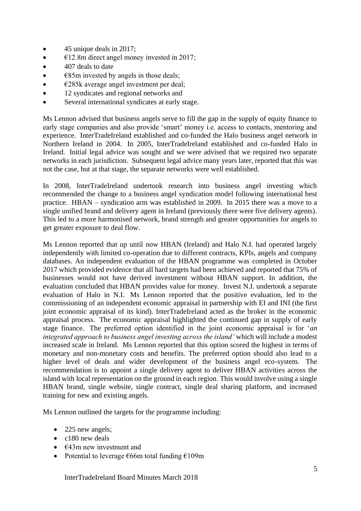- 45 unique deals in 2017;
- $\bullet$   $\epsilon$ 12.8m direct angel money invested in 2017;
- 407 deals to date
- $\bullet$   $\epsilon$ 85m invested by angels in those deals;
- $\bullet$   $\epsilon$ 285k average angel investment per deal;
- 12 syndicates and regional networks and
- Several international syndicates at early stage.

Ms Lennon advised that business angels serve to fill the gap in the supply of equity finance to early stage companies and also provide 'smart' money i.e. access to contacts, mentoring and experience. InterTradeIreland established and co-funded the Halo business angel network in Northern Ireland in 2004. In 2005, InterTradeIreland established and co-funded Halo in Ireland. Initial legal advice was sought and we were advised that we required two separate networks in each jurisdiction. Subsequent legal advice many years later, reported that this was not the case, but at that stage, the separate networks were well established.

In 2008, InterTradeIreland undertook research into business angel investing which recommended the change to a business angel syndication model following international best practice. HBAN – syndication arm was established in 2009. In 2015 there was a move to a single unified brand and delivery agent in Ireland (previously there were five delivery agents). This led to a more harmonised network, brand strength and greater opportunities for angels to get greater exposure to deal flow.

Ms Lennon reported that up until now HBAN (Ireland) and Halo N.I. had operated largely independently with limited co-operation due to different contracts, KPIs, angels and company databases. An independent evaluation of the HBAN programme was completed in October 2017 which provided evidence that all hard targets had been achieved and reported that 75% of businesses would not have derived investment without HBAN support. In addition, the evaluation concluded that HBAN provides value for money. Invest N.I. undertook a separate evaluation of Halo in N.I. Ms Lennon reported that the positive evaluation, led to the commissioning of an independent economic appraisal in partnership with EI and INI (the first joint economic appraisal of its kind). InterTradeIreland acted as the broker in the economic appraisal process. The economic appraisal highlighted the continued gap in supply of early stage finance. The preferred option identified in the joint economic appraisal is for '*an integrated approach to business angel investing across the island'* which will include a modest increased scale in Ireland. Ms Lennon reported that this option scored the highest in terms of monetary and non-monetary costs and benefits. The preferred option should also lead to a higher level of deals and wider development of the business angel eco-system. The recommendation is to appoint a single delivery agent to deliver HBAN activities across the island with local representation on the ground in each region. This would involve using a single HBAN brand, single website, single contract, single deal sharing platform, and increased training for new and existing angels.

Ms Lennon outlined the targets for the programme including:

- 225 new angels;
- c180 new deals
- $\epsilon$ 43m new investment and
- Potential to leverage  $\epsilon$ 66m total funding  $\epsilon$ 109m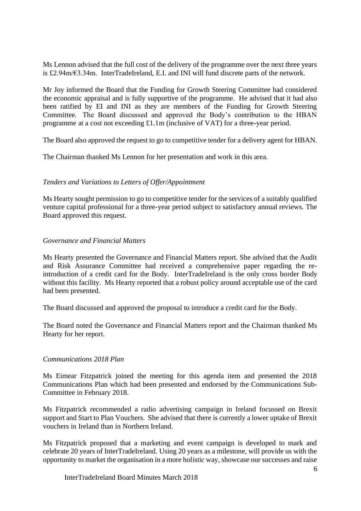Ms Lennon advised that the full cost of the delivery of the programme over the next three years is £2.94m/€3.34m. InterTradeIreland, E.I. and INI will fund discrete parts of the network.

Mr Joy informed the Board that the Funding for Growth Steering Committee had considered the economic appraisal and is fully supportive of the programme. He advised that it had also been ratified by EI and INI as they are members of the Funding for Growth Steering Committee. The Board discussed and approved the Body's contribution to the HBAN programme at a cost not exceeding £1.1m (inclusive of VAT) for a three-year period.

The Board also approved the request to go to competitive tender for a delivery agent for HBAN.

The Chairman thanked Ms Lennon for her presentation and work in this area.

# *Tenders and Variations to Letters of Offer/Appointment*

Ms Hearty sought permission to go to competitive tender for the services of a suitably qualified venture capital professional for a three-year period subject to satisfactory annual reviews. The Board approved this request.

# *Governance and Financial Matters*

Ms Hearty presented the Governance and Financial Matters report. She advised that the Audit and Risk Assurance Committee had received a comprehensive paper regarding the reintroduction of a credit card for the Body. InterTradeIreland is the only cross border Body without this facility. Ms Hearty reported that a robust policy around acceptable use of the card had been presented.

The Board discussed and approved the proposal to introduce a credit card for the Body.

The Board noted the Governance and Financial Matters report and the Chairman thanked Ms Hearty for her report.

### *Communications 2018 Plan*

Ms Eimear Fitzpatrick joined the meeting for this agenda item and presented the 2018 Communications Plan which had been presented and endorsed by the Communications Sub-Committee in February 2018.

Ms Fitzpatrick recommended a radio advertising campaign in Ireland focussed on Brexit support and Start to Plan Vouchers. She advised that there is currently a lower uptake of Brexit vouchers in Ireland than in Northern Ireland.

Ms Fitzpatrick proposed that a marketing and event campaign is developed to mark and celebrate 20 years of InterTradeIreland. Using 20 years as a milestone, will provide us with the opportunity to market the organisation in a more holistic way, showcase our successes and raise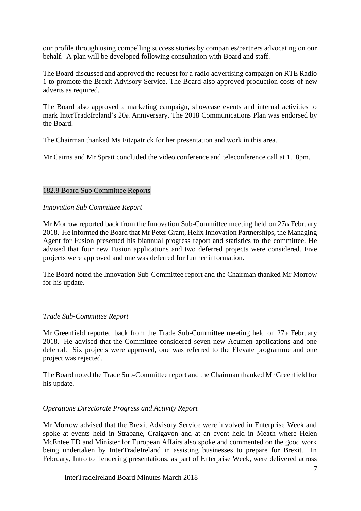our profile through using compelling success stories by companies/partners advocating on our behalf. A plan will be developed following consultation with Board and staff.

The Board discussed and approved the request for a radio advertising campaign on RTE Radio 1 to promote the Brexit Advisory Service. The Board also approved production costs of new adverts as required.

The Board also approved a marketing campaign, showcase events and internal activities to mark InterTradeIreland's 20th Anniversary. The 2018 Communications Plan was endorsed by the Board.

The Chairman thanked Ms Fitzpatrick for her presentation and work in this area.

Mr Cairns and Mr Spratt concluded the video conference and teleconference call at 1.18pm.

### 182.8 Board Sub Committee Reports

### *Innovation Sub Committee Report*

Mr Morrow reported back from the Innovation Sub-Committee meeting held on 27th February 2018. He informed the Board that Mr Peter Grant, Helix Innovation Partnerships, the Managing Agent for Fusion presented his biannual progress report and statistics to the committee. He advised that four new Fusion applications and two deferred projects were considered. Five projects were approved and one was deferred for further information.

The Board noted the Innovation Sub-Committee report and the Chairman thanked Mr Morrow for his update.

### *Trade Sub-Committee Report*

Mr Greenfield reported back from the Trade Sub-Committee meeting held on 27th February 2018. He advised that the Committee considered seven new Acumen applications and one deferral. Six projects were approved, one was referred to the Elevate programme and one project was rejected.

The Board noted the Trade Sub-Committee report and the Chairman thanked Mr Greenfield for his update.

### *Operations Directorate Progress and Activity Report*

Mr Morrow advised that the Brexit Advisory Service were involved in Enterprise Week and spoke at events held in Strabane, Craigavon and at an event held in Meath where Helen McEntee TD and Minister for European Affairs also spoke and commented on the good work being undertaken by InterTradeIreland in assisting businesses to prepare for Brexit. In February, Intro to Tendering presentations, as part of Enterprise Week, were delivered across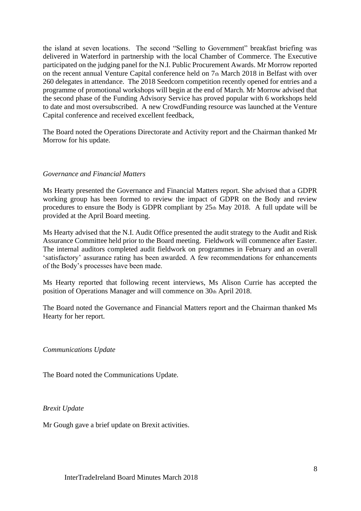the island at seven locations. The second "Selling to Government" breakfast briefing was delivered in Waterford in partnership with the local Chamber of Commerce. The Executive participated on the judging panel for the N.I. Public Procurement Awards. Mr Morrow reported on the recent annual Venture Capital conference held on 7th March 2018 in Belfast with over 260 delegates in attendance. The 2018 Seedcorn competition recently opened for entries and a programme of promotional workshops will begin at the end of March. Mr Morrow advised that the second phase of the Funding Advisory Service has proved popular with 6 workshops held to date and most oversubscribed. A new CrowdFunding resource was launched at the Venture Capital conference and received excellent feedback,

The Board noted the Operations Directorate and Activity report and the Chairman thanked Mr Morrow for his update.

#### *Governance and Financial Matters*

Ms Hearty presented the Governance and Financial Matters report. She advised that a GDPR working group has been formed to review the impact of GDPR on the Body and review procedures to ensure the Body is GDPR compliant by  $25<sub>th</sub>$  May 2018. A full update will be provided at the April Board meeting.

Ms Hearty advised that the N.I. Audit Office presented the audit strategy to the Audit and Risk Assurance Committee held prior to the Board meeting. Fieldwork will commence after Easter. The internal auditors completed audit fieldwork on programmes in February and an overall 'satisfactory' assurance rating has been awarded. A few recommendations for enhancements of the Body's processes have been made.

Ms Hearty reported that following recent interviews, Ms Alison Currie has accepted the position of Operations Manager and will commence on 30th April 2018.

The Board noted the Governance and Financial Matters report and the Chairman thanked Ms Hearty for her report.

*Communications Update*

The Board noted the Communications Update.

*Brexit Update*

Mr Gough gave a brief update on Brexit activities.